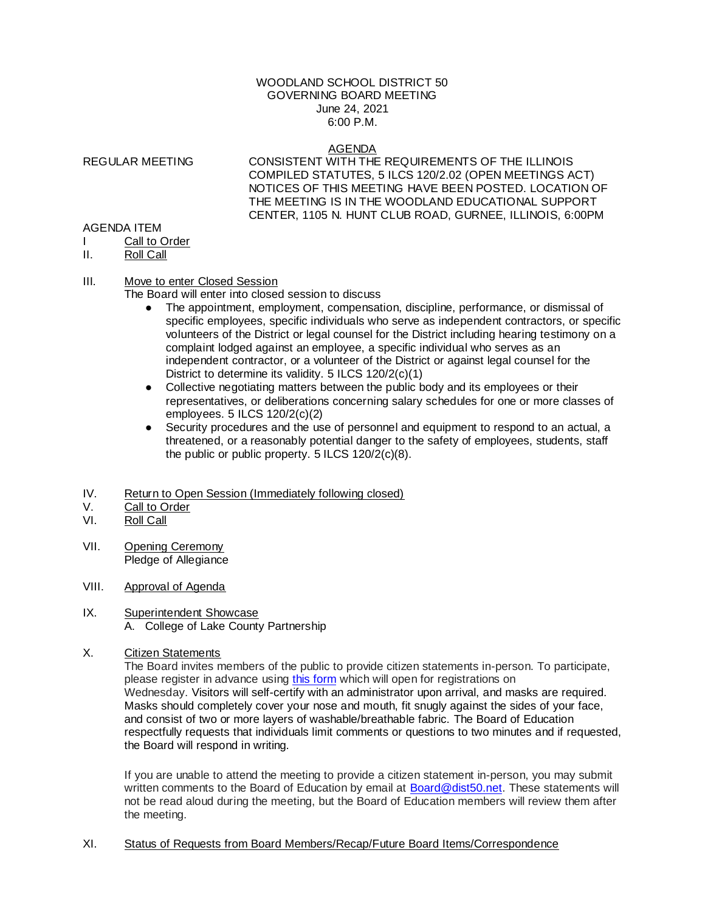### WOODLAND SCHOOL DISTRICT 50 GOVERNING BOARD MEETING June 24, 2021 6:00 P.M.

#### AGENDA

REGULAR MEETING CONSISTENT WITH THE REQUIREMENTS OF THE ILLINOIS COMPILED STATUTES, 5 ILCS 120/2.02 (OPEN MEETINGS ACT) NOTICES OF THIS MEETING HAVE BEEN POSTED. LOCATION OF THE MEETING IS IN THE WOODLAND EDUCATIONAL SUPPORT CENTER, 1105 N. HUNT CLUB ROAD, GURNEE, ILLINOIS, 6:00PM

#### AGENDA ITEM

- Call to Order
- II. Roll Call

## III. Move to enter Closed Session

The Board will enter into closed session to discuss

- The appointment, employment, compensation, discipline, performance, or dismissal of specific employees, specific individuals who serve as independent contractors, or specific volunteers of the District or legal counsel for the District including hearing testimony on a complaint lodged against an employee, a specific individual who serves as an independent contractor, or a volunteer of the District or against legal counsel for the District to determine its validity. 5 ILCS 120/2(c)(1)
- Collective negotiating matters between the public body and its employees or their representatives, or deliberations concerning salary schedules for one or more classes of employees. 5 ILCS 120/2(c)(2)
- Security procedures and the use of personnel and equipment to respond to an actual, a threatened, or a reasonably potential danger to the safety of employees, students, staff the public or public property. 5 ILCS 120/2(c)(8).
- IV. Return to Open Session (Immediately following closed)
- V. Call to Order
- VI. Roll Call
- VII. Opening Ceremony Pledge of Allegiance
- VIII. Approval of Agenda

### IX. Superintendent Showcase A. College of Lake County Partnership

X. Citizen Statements

The Board invites members of the public to provide citizen statements in-person. To participate, please register in advance using [this form](https://docs.google.com/forms/d/e/1FAIpQLSeV0kOIZOL1T2j7gjfP75cZfViIPWll5y9T1wDZhp4WoYMU9g/viewform?usp=sf_link) which will open for registrations on Wednesday. Visitors will self-certify with an administrator upon arrival, and masks are required. Masks should completely cover your nose and mouth, fit snugly against the sides of your face, and consist of two or more layers of washable/breathable fabric. The Board of Education respectfully requests that individuals limit comments or questions to two minutes and if requested, the Board will respond in writing.

If you are unable to attend the meeting to provide a citizen statement in-person, you may submit written comments to the Board of Education by email at [Board@dist50.net.](mailto:Board@dist50.net) These statements will not be read aloud during the meeting, but the Board of Education members will review them after the meeting.

XI. Status of Requests from Board Members/Recap/Future Board Items/Correspondence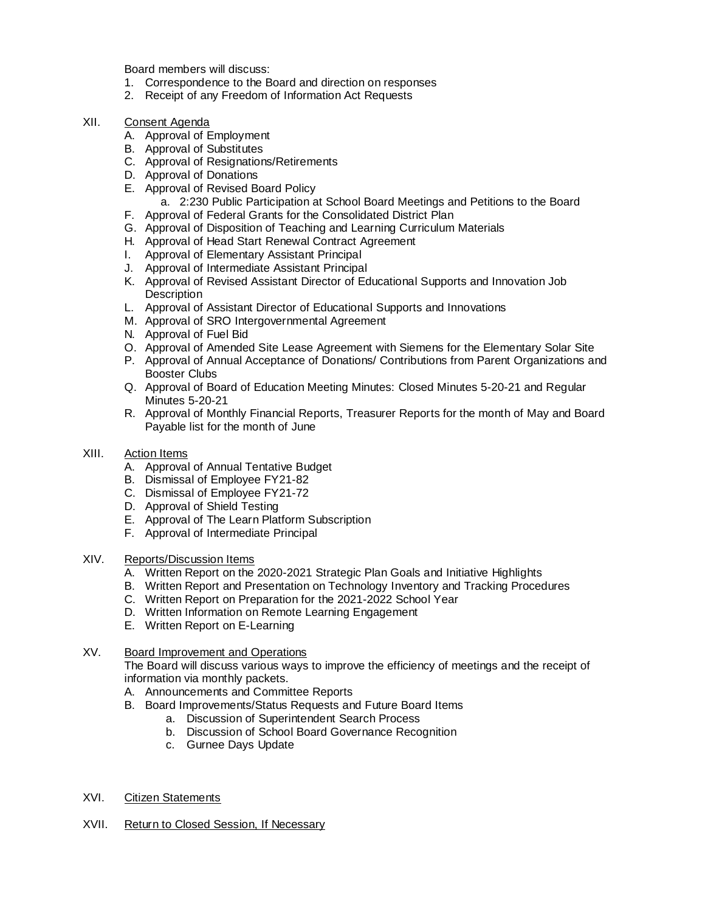Board members will discuss:

- 1. Correspondence to the Board and direction on responses
- 2. Receipt of any Freedom of Information Act Requests
- XII. Consent Agenda
	- A. Approval of Employment
	- B. Approval of Substitutes
	- C. Approval of Resignations/Retirements
	- D. Approval of Donations
	- E. Approval of Revised Board Policy
		- a. 2:230 Public Participation at School Board Meetings and Petitions to the Board
	- F. Approval of Federal Grants for the Consolidated District Plan
	- G. Approval of Disposition of Teaching and Learning Curriculum Materials
	- H. Approval of Head Start Renewal Contract Agreement
	- I. Approval of Elementary Assistant Principal
	- J. Approval of Intermediate Assistant Principal
	- K. Approval of Revised Assistant Director of Educational Supports and Innovation Job **Description**
	- L. Approval of Assistant Director of Educational Supports and Innovations
	- M. Approval of SRO Intergovernmental Agreement
	- N. Approval of Fuel Bid
	- O. Approval of Amended Site Lease Agreement with Siemens for the Elementary Solar Site
	- P. Approval of Annual Acceptance of Donations/ Contributions from Parent Organizations and Booster Clubs
	- Q. Approval of Board of Education Meeting Minutes: Closed Minutes 5-20-21 and Regular Minutes 5-20-21
	- R. Approval of Monthly Financial Reports, Treasurer Reports for the month of May and Board Payable list for the month of June
- XIII. Action Items
	- A. Approval of Annual Tentative Budget
	- B. Dismissal of Employee FY21-82
	- C. Dismissal of Employee FY21-72
	- D. Approval of Shield Testing
	- E. Approval of The Learn Platform Subscription
	- F. Approval of Intermediate Principal
- XIV. Reports/Discussion Items
	- A. Written Report on the 2020-2021 Strategic Plan Goals and Initiative Highlights
	- B. Written Report and Presentation on Technology Inventory and Tracking Procedures
	- C. Written Report on Preparation for the 2021-2022 School Year
	- D. Written Information on Remote Learning Engagement
	- E. Written Report on E-Learning

# XV. Board Improvement and Operations

The Board will discuss various ways to improve the efficiency of meetings and the receipt of information via monthly packets.

- A. Announcements and Committee Reports
- B. Board Improvements/Status Requests and Future Board Items
	- a. Discussion of Superintendent Search Process
	- b. Discussion of School Board Governance Recognition
	- c. Gurnee Days Update
- XVI. Citizen Statements
- XVII. Return to Closed Session, If Necessary